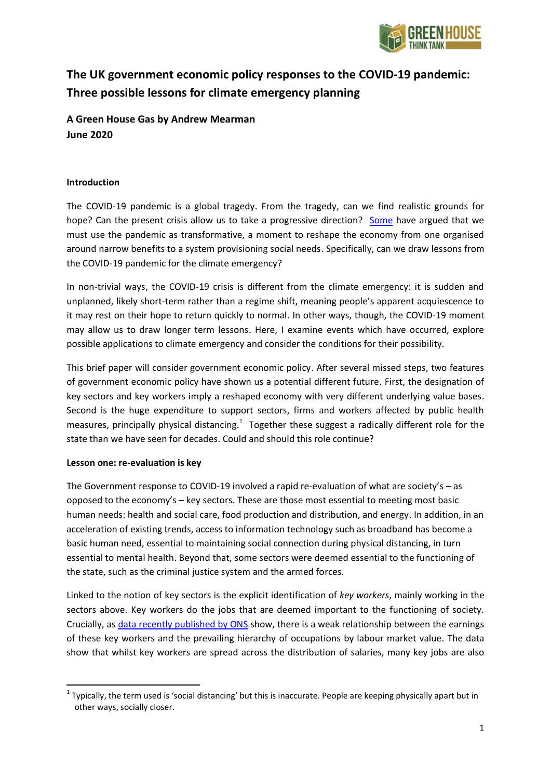

# **The UK government economic policy responses to the COVID-19 pandemic: Three possible lessons for climate emergency planning**

**A Green House Gas by Andrew Mearman June 2020**

## **Introduction**

The COVID-19 pandemic is a global tragedy. From the tragedy, can we find realistic grounds for hope? Can the present crisis allow us to take a progressive direction? [Some](https://www.theguardian.com/commentisfree/2020/mar/18/the-covid-19-crisis-is-a-chance-to-do-capitalism-differently) have argued that we must use the pandemic as transformative, a moment to reshape the economy from one organised around narrow benefits to a system provisioning social needs. Specifically, can we draw lessons from the COVID-19 pandemic for the climate emergency?

In non-trivial ways, the COVID-19 crisis is different from the climate emergency: it is sudden and unplanned, likely short-term rather than a regime shift, meaning people's apparent acquiescence to it may rest on their hope to return quickly to normal. In other ways, though, the COVID-19 moment may allow us to draw longer term lessons. Here, I examine events which have occurred, explore possible applications to climate emergency and consider the conditions for their possibility.

This brief paper will consider government economic policy. After several missed steps, two features of government economic policy have shown us a potential different future. First, the designation of key sectors and key workers imply a reshaped economy with very different underlying value bases. Second is the huge expenditure to support sectors, firms and workers affected by public health measures, principally physical distancing. $1$  Together these suggest a radically different role for the state than we have seen for decades. Could and should this role continue?

## **Lesson one: re-evaluation is key**

The Government response to COVID-19 involved a rapid re-evaluation of what are society's – as opposed to the economy's – key sectors. These are those most essential to meeting most basic human needs: health and social care, food production and distribution, and energy. In addition, in an acceleration of existing trends, access to information technology such as broadband has become a basic human need, essential to maintaining social connection during physical distancing, in turn essential to mental health. Beyond that, some sectors were deemed essential to the functioning of the state, such as the criminal justice system and the armed forces.

Linked to the notion of key sectors is the explicit identification of *key workers*, mainly working in the sectors above. Key workers do the jobs that are deemed important to the functioning of society. Crucially, as [data recently published by ONS](file://Users/andrewmearman/Library/Containers/com.apple.mail/Data/Library/Mail%20Downloads/26ADE379-7D89-4182-A47A-C98C5A5D5CF9/%3ciframe%20height=%22435px%22%20width=%22100%25%22%20src=%22https:/www.ons.gov.uk/visualisations/dvc804/4split-bar-chart/index.html%22%3e%3c/iframe%3e) show, there is a weak relationship between the earnings of these key workers and the prevailing hierarchy of occupations by labour market value. The data show that whilst key workers are spread across the distribution of salaries, many key jobs are also

<sup>1</sup>  $1$  Typically, the term used is 'social distancing' but this is inaccurate. People are keeping physically apart but in other ways, socially closer.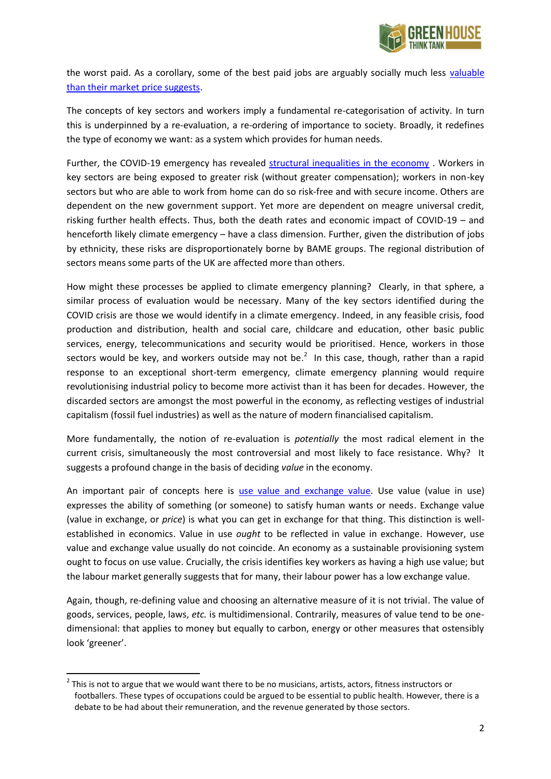

the worst paid. As a corollary, some of the best paid jobs are arguably socially much less [valuable](https://www.nefconsulting.com/wp-content/uploads/2017/09/sroi-valuing-what-matters.pdf)  [than their market price suggests.](https://www.nefconsulting.com/wp-content/uploads/2017/09/sroi-valuing-what-matters.pdf)

The concepts of key sectors and workers imply a fundamental re-categorisation of activity. In turn this is underpinned by a re-evaluation, a re-ordering of importance to society. Broadly, it redefines the type of economy we want: as a system which provides for human needs.

Further, the COVID-19 emergency has revealed [structural inequalities in the economy](https://www.ons.gov.uk/peoplepopulationandcommunity/birthsdeathsandmarriages/deaths/bulletins/deathsinvolvingcovid19bylocalareasanddeprivation/deathsoccurringbetween1marchand17april) . Workers in key sectors are being exposed to greater risk (without greater compensation); workers in non-key sectors but who are able to work from home can do so risk-free and with secure income. Others are dependent on the new government support. Yet more are dependent on meagre universal credit, risking further health effects. Thus, both the death rates and economic impact of COVID-19 – and henceforth likely climate emergency – have a class dimension. Further, given the distribution of jobs by ethnicity, these risks are disproportionately borne by BAME groups. The regional distribution of sectors means some parts of the UK are affected more than others.

How might these processes be applied to climate emergency planning? Clearly, in that sphere, a similar process of evaluation would be necessary. Many of the key sectors identified during the COVID crisis are those we would identify in a climate emergency. Indeed, in any feasible crisis, food production and distribution, health and social care, childcare and education, other basic public services, energy, telecommunications and security would be prioritised. Hence, workers in those sectors would be key, and workers outside may not be. $^2$  In this case, though, rather than a rapid response to an exceptional short-term emergency, climate emergency planning would require revolutionising industrial policy to become more activist than it has been for decades. However, the discarded sectors are amongst the most powerful in the economy, as reflecting vestiges of industrial capitalism (fossil fuel industries) as well as the nature of modern financialised capitalism.

More fundamentally, the notion of re-evaluation is *potentially* the most radical element in the current crisis, simultaneously the most controversial and most likely to face resistance. Why? It suggests a profound change in the basis of deciding *value* in the economy.

An important pair of concepts here is [use value and exchange value.](https://www.opendemocracy.net/en/oureconomy/times-climate-breakdown-how-do-we-value-what-matters/) Use value (value in use) expresses the ability of something (or someone) to satisfy human wants or needs. Exchange value (value in exchange, or *price*) is what you can get in exchange for that thing. This distinction is wellestablished in economics. Value in use *ought* to be reflected in value in exchange. However, use value and exchange value usually do not coincide. An economy as a sustainable provisioning system ought to focus on use value. Crucially, the crisis identifies key workers as having a high use value; but the labour market generally suggests that for many, their labour power has a low exchange value.

Again, though, re-defining value and choosing an alternative measure of it is not trivial. The value of goods, services, people, laws, *etc.* is multidimensional. Contrarily, measures of value tend to be onedimensional: that applies to money but equally to carbon, energy or other measures that ostensibly look 'greener'.

<sup>2</sup> This is not to argue that we would want there to be no musicians, artists, actors, fitness instructors or footballers. These types of occupations could be argued to be essential to public health. However, there is a debate to be had about their remuneration, and the revenue generated by those sectors.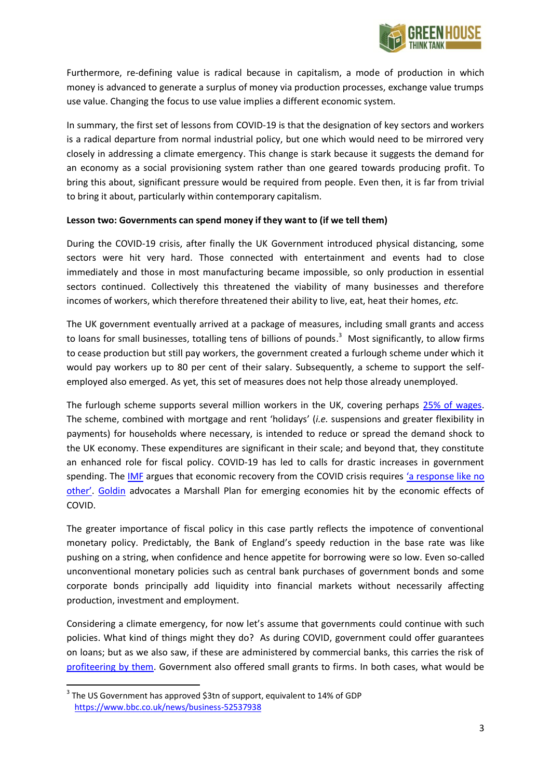

Furthermore, re-defining value is radical because in capitalism, a mode of production in which money is advanced to generate a surplus of money via production processes, exchange value trumps use value. Changing the focus to use value implies a different economic system.

In summary, the first set of lessons from COVID-19 is that the designation of key sectors and workers is a radical departure from normal industrial policy, but one which would need to be mirrored very closely in addressing a climate emergency. This change is stark because it suggests the demand for an economy as a social provisioning system rather than one geared towards producing profit. To bring this about, significant pressure would be required from people. Even then, it is far from trivial to bring it about, particularly within contemporary capitalism.

## **Lesson two: Governments can spend money if they want to (if we tell them)**

During the COVID-19 crisis, after finally the UK Government introduced physical distancing, some sectors were hit very hard. Those connected with entertainment and events had to close immediately and those in most manufacturing became impossible, so only production in essential sectors continued. Collectively this threatened the viability of many businesses and therefore incomes of workers, which therefore threatened their ability to live, eat, heat their homes, *etc.*

The UK government eventually arrived at a package of measures, including small grants and access to loans for small businesses, totalling tens of billions of pounds.<sup>3</sup> Most significantly, to allow firms to cease production but still pay workers, the government created a furlough scheme under which it would pay workers up to 80 per cent of their salary. Subsequently, a scheme to support the selfemployed also emerged. As yet, this set of measures does not help those already unemployed.

The furlough scheme supports several million workers in the UK, covering perhaps [25% of wages.](https://www.bbc.co.uk/news/business-52539203) The scheme, combined with mortgage and rent 'holidays' (*i.e.* suspensions and greater flexibility in payments) for households where necessary, is intended to reduce or spread the demand shock to the UK economy. These expenditures are significant in their scale; and beyond that, they constitute an enhanced role for fiscal policy. COVID-19 has led to calls for drastic increases in government spending. Th[e IMF](https://blogs.imf.org/2020/05/06/fiscal-policies-for-the-recovery-from-covid-19/) argues that economic recovery from the COVID crisis requires 'a response like no [other'](https://blogs.imf.org/2020/04/20/a-global-crisis-like-no-other-needs-a-global-response-like-no-other/). [Goldin](https://www.theguardian.com/commentisfree/2020/apr/21/coronavirus-disaster-developing-nations-global-marshall-plan) advocates a Marshall Plan for emerging economies hit by the economic effects of COVID.

The greater importance of fiscal policy in this case partly reflects the impotence of conventional monetary policy. Predictably, the Bank of England's speedy reduction in the base rate was like pushing on a string, when confidence and hence appetite for borrowing were so low. Even so-called unconventional monetary policies such as central bank purchases of government bonds and some corporate bonds principally add liquidity into financial markets without necessarily affecting production, investment and employment.

Considering a climate emergency, for now let's assume that governments could continue with such policies. What kind of things might they do? As during COVID, government could offer guarantees on loans; but as we also saw, if these are administered by commercial banks, this carries the risk of [profiteering by them.](https://portside.org/2020-04-25/us-banks-made-quick-10-billion-2-weeks) Government also offered small grants to firms. In both cases, what would be

 $3$  The US Government has approved \$3tn of support, equivalent to 14% of GDP <https://www.bbc.co.uk/news/business-52537938>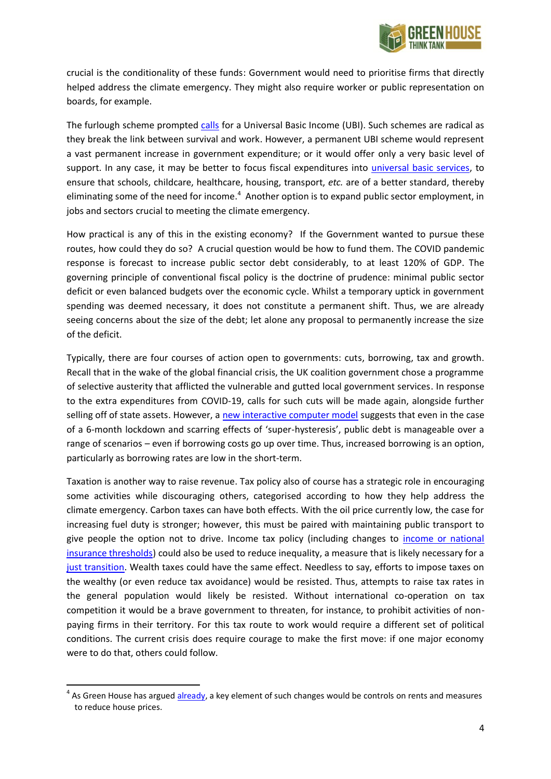

crucial is the conditionality of these funds: Government would need to prioritise firms that directly helped address the climate emergency. They might also require worker or public representation on boards, for example.

The furlough scheme prompted [calls](https://www.bloomberg.com/opinion/articles/2020-05-15/coronavirus-is-making-universal-basic-income-look-better) for a Universal Basic Income (UBI). Such schemes are radical as they break the link between survival and work. However, a permanent UBI scheme would represent a vast permanent increase in government expenditure; or it would offer only a very basic level of support. In any case, it may be better to focus fiscal expenditures into [universal basic services,](https://www.ucl.ac.uk/bartlett/igp/news/2017/oct/igps-social-prosperity-network-publishes-uks-first-report-universal-basic-services) to ensure that schools, childcare, healthcare, housing, transport, *etc.* are of a better standard, thereby eliminating some of the need for income.<sup>4</sup> Another option is to expand public sector employment, in jobs and sectors crucial to meeting the climate emergency.

How practical is any of this in the existing economy? If the Government wanted to pursue these routes, how could they do so? A crucial question would be how to fund them. The COVID pandemic response is forecast to increase public sector debt considerably, to at least 120% of GDP. The governing principle of conventional fiscal policy is the doctrine of prudence: minimal public sector deficit or even balanced budgets over the economic cycle. Whilst a temporary uptick in government spending was deemed necessary, it does not constitute a permanent shift. Thus, we are already seeing concerns about the size of the debt; let alone any proposal to permanently increase the size of the deficit.

Typically, there are four courses of action open to governments: cuts, borrowing, tax and growth. Recall that in the wake of the global financial crisis, the UK coalition government chose a programme of selective austerity that afflicted the vulnerable and gutted local government services. In response to the extra expenditures from COVID-19, calls for such cuts will be made again, alongside further selling off of state assets. However, a [new interactive computer model](https://www.ippr.org/news-and-media/press-releases/uk-can-afford-to-keep-fighting-the-covid-19-crisis-say-economists-in-a-paper-for-ippr) suggests that even in the case of a 6-month lockdown and scarring effects of 'super-hysteresis', public debt is manageable over a range of scenarios – even if borrowing costs go up over time. Thus, increased borrowing is an option, particularly as borrowing rates are low in the short-term.

Taxation is another way to raise revenue. Tax policy also of course has a strategic role in encouraging some activities while discouraging others, categorised according to how they help address the climate emergency. Carbon taxes can have both effects. With the oil price currently low, the case for increasing fuel duty is stronger; however, this must be paired with maintaining public transport to give people the option not to drive. Income tax policy (including changes to *income or national* [insurance thresholds\)](https://www.ft.com/content/7a01b73b-d1ec-4b6e-a7b1-2d1a0060de91) could also be used to reduce inequality, a measure that is likely necessary for a [just transition.](https://www.gov.scot/groups/just-transition-commission/) Wealth taxes could have the same effect. Needless to say, efforts to impose taxes on the wealthy (or even reduce tax avoidance) would be resisted. Thus, attempts to raise tax rates in the general population would likely be resisted. Without international co-operation on tax competition it would be a brave government to threaten, for instance, to prohibit activities of nonpaying firms in their territory. For this tax route to work would require a different set of political conditions. The current crisis does require courage to make the first move: if one major economy were to do that, others could follow.

<sup>&</sup>lt;sup>4</sup> As Green House has argue[d already,](https://www.greenhousethinktank.org/uploads/4/8/3/2/48324387/housing-final.pdf) a key element of such changes would be controls on rents and measures to reduce house prices.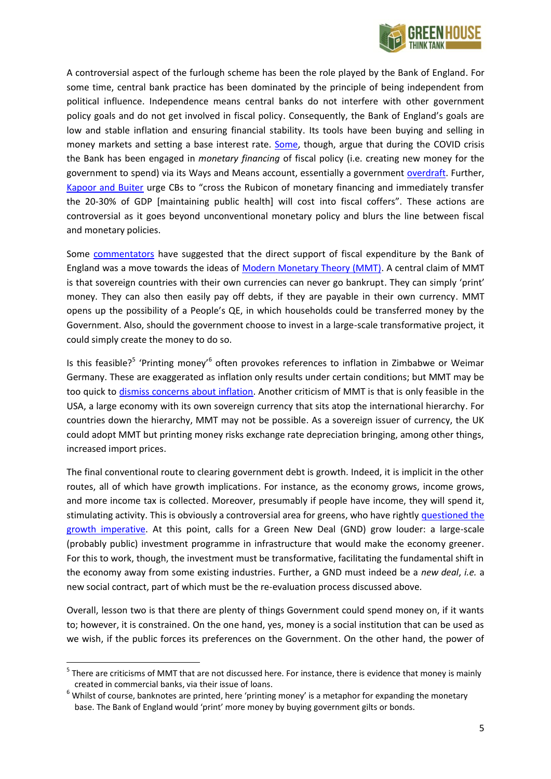

A controversial aspect of the furlough scheme has been the role played by the Bank of England. For some time, central bank practice has been dominated by the principle of being independent from political influence. Independence means central banks do not interfere with other government policy goals and do not get involved in fiscal policy. Consequently, the Bank of England's goals are low and stable inflation and ensuring financial stability. Its tools have been buying and selling in money markets and setting a base interest rate. [Some,](https://www.ft.com/content/664c575b-0f54-44e5-ab78-2fd30ef213cb) though, argue that during the COVID crisis the Bank has been engaged in *monetary financing* of fiscal policy (i.e. creating new money for the government to spend) via its Ways and Means account, essentially a government [overdraft.](https://think.ing.com/articles/bank-of-england-and-treasury-announce-temporary-monetary-financing/) Further, [Kapoor and Buiter](https://voxeu.org/article/fight-covid-pandemic-policymakers-must-move-fast-and-break-taboos) urge CBs to "cross the Rubicon of monetary financing and immediately transfer the 20-30% of GDP [maintaining public health] will cost into fiscal coffers". These actions are controversial as it goes beyond unconventional monetary policy and blurs the line between fiscal and monetary policies.

Some [commentators](https://www.project-syndicate.org/commentary/helicopter-money-coronavirus-response-by-willem-h-buiter-1-2020-03) have suggested that the direct support of fiscal expenditure by the Bank of England was a move towards the ideas of [Modern Monetary Theory \(MMT\).](https://theconversation.com/explainer-what-is-modern-monetary-theory-72095) A central claim of MMT is that sovereign countries with their own currencies can never go bankrupt. They can simply 'print' money. They can also then easily pay off debts, if they are payable in their own currency. MMT opens up the possibility of a People's QE, in which households could be transferred money by the Government. Also, should the government choose to invest in a large-scale transformative project, it could simply create the money to do so.

Is this feasible?<sup>5</sup> 'Printing money'<sup>6</sup> often provokes references to inflation in Zimbabwe or Weimar Germany. These are exaggerated as inflation only results under certain conditions; but MMT may be too quick to [dismiss concerns about inflation.](https://criticalfinance.org/2019/11/22/mmt-history-theory-and-politics/comment-page-1/#comment-17463) Another criticism of MMT is that is only feasible in the USA, a large economy with its own sovereign currency that sits atop the international hierarchy. For countries down the hierarchy, MMT may not be possible. As a sovereign issuer of currency, the UK could adopt MMT but printing money risks exchange rate depreciation bringing, among other things, increased import prices.

The final conventional route to clearing government debt is growth. Indeed, it is implicit in the other routes, all of which have growth implications. For instance, as the economy grows, income grows, and more income tax is collected. Moreover, presumably if people have income, they will spend it, stimulating activity. This is obviously a controversial area for greens, who have rightly [questioned the](https://www.greenhousethinktank.org/post-growth-project.html)  [growth imperative.](https://www.greenhousethinktank.org/post-growth-project.html) At this point, calls for a Green New Deal (GND) grow louder: a large-scale (probably public) investment programme in infrastructure that would make the economy greener. For this to work, though, the investment must be transformative, facilitating the fundamental shift in the economy away from some existing industries. Further, a GND must indeed be a *new deal*, *i.e.* a new social contract, part of which must be the re-evaluation process discussed above.

Overall, lesson two is that there are plenty of things Government could spend money on, if it wants to; however, it is constrained. On the one hand, yes, money is a social institution that can be used as we wish, if the public forces its preferences on the Government. On the other hand, the power of

<sup>&</sup>lt;sup>5</sup> There are criticisms of MMT that are not discussed here. For instance, there is evidence that money is mainly created in commercial banks, via their issue of loans.

 $6$  Whilst of course, banknotes are printed, here 'printing money' is a metaphor for expanding the monetary base. The Bank of England would 'print' more money by buying government gilts or bonds.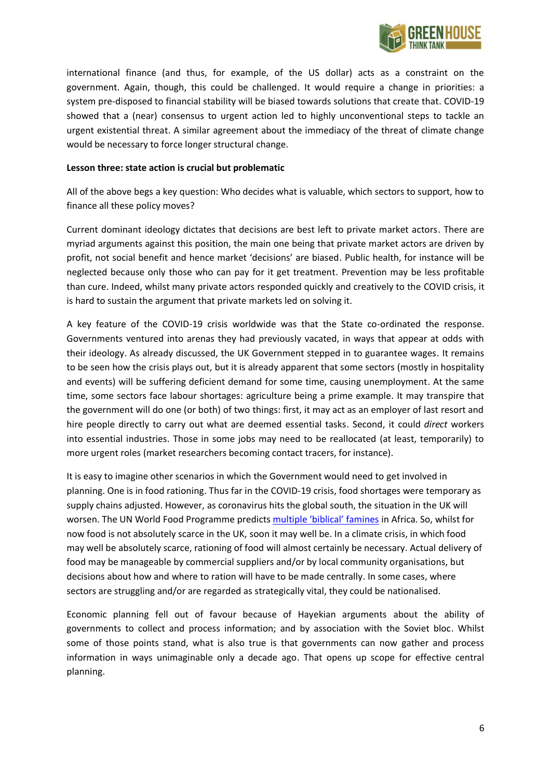

international finance (and thus, for example, of the US dollar) acts as a constraint on the government. Again, though, this could be challenged. It would require a change in priorities: a system pre-disposed to financial stability will be biased towards solutions that create that. COVID-19 showed that a (near) consensus to urgent action led to highly unconventional steps to tackle an urgent existential threat. A similar agreement about the immediacy of the threat of climate change would be necessary to force longer structural change.

## **Lesson three: state action is crucial but problematic**

All of the above begs a key question: Who decides what is valuable, which sectors to support, how to finance all these policy moves?

Current dominant ideology dictates that decisions are best left to private market actors. There are myriad arguments against this position, the main one being that private market actors are driven by profit, not social benefit and hence market 'decisions' are biased. Public health, for instance will be neglected because only those who can pay for it get treatment. Prevention may be less profitable than cure. Indeed, whilst many private actors responded quickly and creatively to the COVID crisis, it is hard to sustain the argument that private markets led on solving it.

A key feature of the COVID-19 crisis worldwide was that the State co-ordinated the response. Governments ventured into arenas they had previously vacated, in ways that appear at odds with their ideology. As already discussed, the UK Government stepped in to guarantee wages. It remains to be seen how the crisis plays out, but it is already apparent that some sectors (mostly in hospitality and events) will be suffering deficient demand for some time, causing unemployment. At the same time, some sectors face labour shortages: agriculture being a prime example. It may transpire that the government will do one (or both) of two things: first, it may act as an employer of last resort and hire people directly to carry out what are deemed essential tasks. Second, it could *direct* workers into essential industries. Those in some jobs may need to be reallocated (at least, temporarily) to more urgent roles (market researchers becoming contact tracers, for instance).

It is easy to imagine other scenarios in which the Government would need to get involved in planning. One is in food rationing. Thus far in the COVID-19 crisis, food shortages were temporary as supply chains adjusted. However, as coronavirus hits the global south, the situation in the UK will worsen. The UN World Food Programme predicts [multiple 'biblical' famines](https://www.rte.ie/news/world/2020/0421/1132986-leading-un-figure-warns-of-hunger-pandemic/) in Africa. So, whilst for now food is not absolutely scarce in the UK, soon it may well be. In a climate crisis, in which food may well be absolutely scarce, rationing of food will almost certainly be necessary. Actual delivery of food may be manageable by commercial suppliers and/or by local community organisations, but decisions about how and where to ration will have to be made centrally. In some cases, where sectors are struggling and/or are regarded as strategically vital, they could be nationalised.

Economic planning fell out of favour because of Hayekian arguments about the ability of governments to collect and process information; and by association with the Soviet bloc. Whilst some of those points stand, what is also true is that governments can now gather and process information in ways unimaginable only a decade ago. That opens up scope for effective central planning.